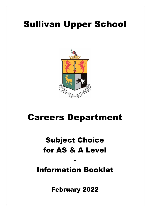# Sullivan Upper School



# Careers Department

# Subject Choice for AS & A Level

# Information Booklet

-

February 2022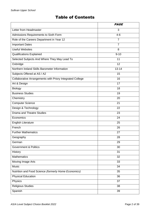# Table of Contents

|                                                           | <b>PAGE</b>    |
|-----------------------------------------------------------|----------------|
| Letter from Headmaster                                    | 3              |
| Admissions Requirements to Sixth Form                     | $4 - 6$        |
| Role of the Careers Department in Year 12                 | $\overline{7}$ |
| <b>Important Dates</b>                                    | $\overline{7}$ |
| <b>Useful Websites</b>                                    | 8              |
| <b>Qualifications Explained</b>                           | $9 - 10$       |
| Selected Subjects And Where They May Lead To              | 11             |
| Oxbridge                                                  | 12             |
| Northern Ireland Skills Barometer Information             | $13 - 14$      |
| Subjects Offered at AS / A2                               | 15             |
| Collaborative Arrangements with Priory Integrated College | 16             |
| Art & Design                                              | 17             |
| Biology                                                   | 18             |
| <b>Business Studies</b>                                   | 19             |
| Chemistry                                                 | 20             |
| <b>Computer Science</b>                                   | 21             |
| Design & Technology                                       | 22             |
| <b>Drama and Theatre Studies</b>                          | 23             |
| Economics                                                 | 24             |
| <b>English Literature</b>                                 | 25             |
| French                                                    | 26             |
| <b>Further Mathematics</b>                                | 27             |
| Geography                                                 | 28             |
| German                                                    | 29             |
| <b>Government &amp; Politics</b>                          | 30             |
| History                                                   | 31             |
| <b>Mathematics</b>                                        | 32             |
| <b>Moving Image Arts</b>                                  | 33             |
| <b>Music</b>                                              | 34             |
| Nutrition and Food Science (formerly Home Economics)      | 35             |
| <b>Physical Education</b>                                 | 36             |
| Physics                                                   | 37             |
| <b>Religious Studies</b>                                  | 38             |
| Spanish                                                   | 39             |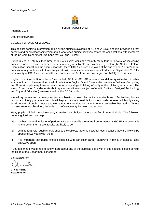

February 2022

Dear Parents/Pupils

#### **SUBJECT CHOICE AT A LEVEL**

This booklet contains information about all the subjects available at AS and A Level and it is provided so that parents and pupils know something about what each subject involves before the consultations with members of the Careers Department. We hope that you find it useful.

Pupils in Year 13 study either three or four AS levels; whilst the majority study four AS Levels, an increasing number choose to focus on three. The vast majority of subjects are examined by CCEA (the Northern Ireland Examination Board) and the examinations for these CCEA courses are taken at the end of Year 13. In Year 14, pupils normally continue with three subjects to A2. New specificiations were introduced in September 2016 for the majority of CCEA courses and these courses retain AS Level as an integral part (40%) of the A Level.

English Examination Boards have 'de-coupled' AS from A2. AS is now a standalone qualification, in other words, not part of the overall A Level. In relation to English Board Examinations taken in Sullivan (Computing and Drama), pupils may have to commit at an early stage to taking AS only or the full two-year course. The Welsh Examination Board operates both systems and the two subjects offered in Sullivan (Design & Technology and Physical Education) are examined on the CCEA model.

We will try to ensure that every subject combination chosen by pupils is available next September, but we cannot absolutely guarantee that this will happen. It is not possible for us to provide courses which only a very small number of pupils choose and we have to ensure that we have an overall timetable that works. Where courses are oversubscribed, the order of preference may be taken into account.

Many pupils will find it relatively easy to make their choices; others may find it more difficult. The following general guidelines may help:

- [a] the best general indicator of performance at A Level is the **overall** performance at GCSE: the better this is, the better the A Level results are likely to be;
- [b] as a general rule, pupils should choose the subjects they like best, not least because they are likely to be spending two years with them;
- [c] it is important that pupils choose subjects with particular career pathways in mind, at least to keep pathways open.

If you feel that it would help to know more about any of the subjects dealt with in this booklet, please consult the Head of the Department concerned.

Yours sincerely

**C J W PEEL Headmaster**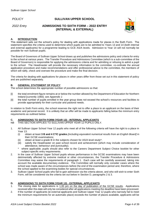### *POLICY* **SULLIVAN UPPER SCHOOL**

### *2022 Entry* **ADMISSIONS TO SIXTH FORM – 2022 ENTRY (INTERNAL & EXTERNAL)**



### **A. INTRODUCTION**

This statement sets out the school's policy for dealing with applications made for places in the Sixth Form. The statement specifies the criteria used to determine which pupils are to be admitted to Years 13 and 14 (both internal and external applicants) for a programme leading to GCE AS/A levels. Admission to Year 14 will not normally be possible for non-Sullivan pupils.

The Board of Governors of Sullivan Upper School draws up and publishes the admissions policy and criteria for entry to the school at various years. The Transfer Procedure and Admissions Committee (which is a sub-committee of the Board of Governors) is responsible for applying the admissions criteria and for admitting or refusing to admit a pupil to the school. The Headmaster will provide the necessary information to the committee, co-ordinate the annual application procedure and make recommendations and offer professional advice to the committee, the members of which will ratify, check and oversee the procedure and make the final decision.

The criteria for dealing with applications for places in other years differ from those set out in this statement of policy and are published separately.

#### **B. GENERAL STATEMENT OF POLICY**

The school determines the appropriate number of possible admissions so that:

- [i] the total enrolment figure remains at or below the number allowed by the Department of Education for Northern Ireland [currently 1060]; *see Appendix 1*
- [ii] the total number of pupils enrolled in the year group does not exceed the school's resources and facilities to provide appropriately for their curricular and pastoral needs.

In relation to Sixth Form entry, the school reserves the right not to offer a place to an applicant on the basis of their academic and personal record. It is unlikely that an offer will be made to applicants falling below the minimum entry requirements as outlined below.

# **C. ADMISSIONS TO SIXTH FORM (YEAR 13) - INTERNAL APPLICANTS**

- THIS SECTION APPLIES TO SULLIVAN UPPER YEAR 12 PUPILS ONLY.
- 1. All Sullivan Upper School Year 12 pupils who meet all of the following criteria will have the right to a place in Year 13:
	- (i) obtain at least **3 B and 4 C\*/C grades** *[including equivalent numerical results from an English Board]* in their GCSE examinations;
	- (ii) obtain at least a grade B in the subjects chosen for AS/A level study\*;
	- (iii) satisfy the Headmaster on past school record and achievement (which may include consideration of attendance, behaviour and punctuality).
	- where applicable; pupils should also refer to the Careers Department Subject Choice booklet for other subject-specific entry requirements.
- 2. In the case of Sullivan Upper School pupils whose performance in the GCSE examinations may have been detrimentally affected by extreme medical or other circumstances, the Transfer Procedure & Admissions Committee may waive the requirements of paragraph 1. Each case will be carefully assessed, taking into account the available documentary evidence. The Committee will normally only consider cases where the school was made aware of the circumstances before the end of the examination period and, therefore, where the school applied to the examining bodies for special circumstances.
- 3. Sullivan Upper School pupils who fail to gain admission via the criteria above, and who still wish to enter Sixth Form, will be considered via the criteria set out below in Section D, paragraphs 2 & 3.

#### **D. ADMISSIONS TO SIXTH FORM (YEAR 13) - EXTERNAL APPLICANTS**

- 1. The closing date for applications is 1.00 pm on the day of publication of the GCSE results. Applications received after this date will only be considered after all applications meeting the deadline have been processed.
- 2. If the number of applicants (ie external applicants and Sullivan Upper Year 12 pupils who narrowly fail to meet the minimum requirements for an automatic place) exceeds the number of places available, applicants will be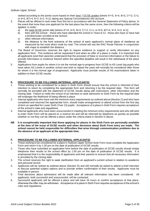ranked according to the points score based on their best 7 GCSE grades [where  $A^*=5$ ,  $A=4$ ,  $B=3$ ,  $C^*=2$ ,  $C=1$ ; or 9=5, 8/7=4, 6=3, 5=2, 4=1], taking any Special Circumstances into account.

- 3. Places will be offered in rank order from this list in accordance with the General Statement of Policy above. In the event that more than one applicant for the last place has the same score, then the following criteria will be applied, in order:
	- a) the total GCSE points tally [where  $A^*=5$ ,  $A=5$ ,  $B=3$ ,  $C^*=2$ ,  $C=1$ ; or  $9=5$ ,  $8/7=4$ ,  $6=3$ ,  $5=2$ ,  $4=1$ ];
	- b) links with the school: those who have attended the school in Years 8-12 those who have or have had a brother/sister enrolled at the School;
	- c) other relevant information;
	- d) the distance to the front entrance of the school of each applicant's normal place of residence as measured by the most direct route by road. The school will use the RAC Route Planner in conjunction with maps to establish the distance.
- 4. The Board of Governors reserves the right to require evidence to support or verify information on any application form. This evidence will be requested if and when an offer of a place is made. It is important that all applicants (and their parents) understand that the provision of false or incorrect information or the failure to provide information or evidence thereof within the specified deadline will result in the withdrawal of the place offered.
- 5. Applications from pupils for whom it is not the normal age to progress from GCSE to AS Level (eg pupils who have taken AS Levels in another school and wish to repeat the year) will normally be considered after those for whom it is the normal age of progression. Applicants must provide results of AS examinations taken in addition to their GCSE results.

#### **E. PROCEDURE TO BE FOLLOWED (INTERNAL APPLICANTS)**

- 1. Those wishing to be considered for a place in Sixth Form should ensure that the school is informed of their intention to return by completing the appropriate form and returning it by the required date. This form will normally be provided with the statement of GCSE results along with instructions, other information and the closing date. Failure to notify the school of an intention to seek admission to Sixth Form by the required date will endanger the likelihood of being offered a place
- 2. Internal applicants who have met the minimum entry requirements as outlined above [Section C] and who have completed and returned the appropriate form, should make arrangements to attend school from the first day of term as specified for Lower Sixth (Year 13) pupils. Acceptance of a place in Sixth Form requires acceptance of the school's rules and regulations.
- 3. Internal applicants who have been unsuccessful in meeting the minimum entry requirements and who still wish to enter Sixth Form will be placed on a reserve list and will be informed by telephone as quickly as possible whether or not they can be offered a place under the criteria listed in Section D above.
- **NB It is exceptionally important that those applying for places in the Sixth Form are personally available at the time of the issue of GCSE results and when decisions about Sixth Form entry are made. The school cannot be held responsible for difficulties that arise through communication problems due to the absence of an applicant at the appropriate time.**

#### **F. PROCEDURE TO BE FOLLOWED (EXTERNAL APPLICANTS)**

- 1. Those wishing to be considered for a place in Sullivan Upper School Sixth Form must complete the Application Form and return it by 1.00 pm on the date of publication of GCSE results.
- 2. Those who have submitted an application form before the date of publication of GCSE results should simply telephone their results to the school office by 1.00 pm on the date of publication of GCSE results. It is emphasised that it is the responsibility of applicants and their parents to ensure that all necessary information is provided by the closing date.
- 3. The school reserves the right to seek clarification from an applicant's current school in relation to academic and personal record.
- 4. Applicants will be ranked as outlined above (Section D) and will normally be asked to attend a brief interview to discuss potential subject options and to provide written confirmation of their results. Applicants must be available in person.
- 5. Final decisions about admissions will be made after all relevant information has been considered. All applicants, both successful and unsuccessful, will be contacted.
- 6. Successful applicants will be offered a place and will have 24 hours to confirm acceptance of that place, otherwise the offer may be withdrawn. Acceptance of a place in Sixth Form requires acceptance of the school's rules and regulations.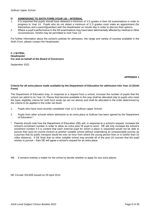#### **G ADMISSIONS TO SIXTH FORM (YEAR 14) – INTERNAL**

- 1. It is expected that pupils should have obtained a minimum of 3 D grades in their AS examinations in order to progress to Year 14. Pupils who do not obtain a minimum of 3 D grades must make an appointment (for themselves and a parent/guardian) with the Headmaster on results day in order to discuss their options.
- 2. Where a pupil's performance in the AS examinations may have been detrimentally affected by medical or other circumstances, he/she may be permitted to resit Year 13.

For further information about the school's policies for admission, the range and variety of courses available in the Sixth Form, please contact the Headmaster.

#### **C J W PEEL Headmaster For and on behalf of the Board of Governors**

September 2022

#### **APPENDIX 1**

#### **Criteria for all extra places made available by the Department of Education for admission into Year 13 (Sixth Form)**

The Department of Education may, in response to a request from a school, increase the number of pupils that the school can admit to its Year 13. Places that become available in this way shall be allocated only to pupils who meet the basic eligibility criteria for sixth form study (as set out above) and shall be allocated in the order determined by the criteria to be applied in the order set down.

- 1. Pupils who have most recently completed Year 12 in Sullivan Upper School.
- 2. Pupils from other schools where admission to an extra place at Sullivan has been agreed by the Department of Education.\*
- Parents should note how the Department of Education (DE) will, in response to a school's request, increase the school's enrolment number in order to allow an extra post-16 pupil to enrol. DE will only increase the school's enrolment number if it is content that each external pupil for whom a place is requested would not be able to pursue their post-16 course-choices at another suitable school without undertaking an unreasonable journey (ie a journey that by public transport would be over an hour from where the young person lives or is further than 15 miles distance). If DE finds that no other suitable school may provide all of the post-16 courses that the pupil wishes to pursue – then DE will agree a school's request for an extra place.
- NB It remains entirely a matter for the school to decide whether to apply for any extra places.

DE Circular 2014/05 issued on 29 April 2014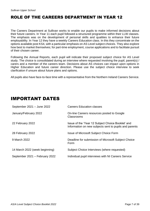# ROLE OF THE CAREERS DEPARTMENT IN YEAR 12

The Careers Department at Sullivan works to enable our pupils to make informed decisions about their future careers. In Year 11 each pupil followed a structured programme within their LLW classes. The emphasis was on the development of personal skills and qualities to enhance their future employability. In Year 12 they have a weekly Careers Education class. In this they concentrate on the options available post KS4, with a particular emphasis on AS Level subject choices. They also explore how best to market themselves; for part-time employment, course applications and to facilitate pursuit of their chosen career.

Following the Annual Reports, each pupil will indicate their proposed subject choice for AS Level study. The choice is consolidated during an interview where requested involving the pupil, parent(s) / carers and a member of the careers team. Decisions about AS choices can impact upon options in Higher Education and future career direction. Please use the subject choice interview to seek clarification if unsure about future plans and options.

All pupils also have face-to-face time with a representative from the Northern Ireland Careers Service.

# IMPORTANT DATES

| September 2021 - June 2022     | <b>Careers Education classes</b>                                                                            |
|--------------------------------|-------------------------------------------------------------------------------------------------------------|
| January/February 2022          | On-line Careers resources posted to Google<br>Classrooms                                                    |
| 22 February 2022               | Issue of the 'Year 12 Subject Choice Booklet' and<br>Information on new subjects sent to pupils and parents |
| 28 February 2022               | <b>Issue of Microsoft Subject Choice Form</b>                                                               |
| 9 March 2022                   | Deadline for submission of Microsoft Subject Choice<br>Form                                                 |
| 14 March 2022 (week beginning) | Subject Choice Interviews (where requested)                                                                 |
| September 2021 - February 2022 | Individual pupil interviews with NI Careers Service                                                         |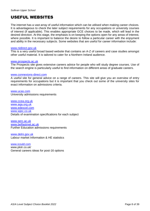# USEFUL WEBSITES

The internet has a vast array of useful information which can be utilised when making career choices. It is advantageous to check the later subject requirements for any occupations or university courses of interest (if applicable). This enables appropriate GCE choices to be made, which will lead in the desired direction. At this stage, the emphasis is on keeping the options open for any areas of interest, where possible. It is important to balance the desire to follow a particular career with the enjoyment and ability in the necessary subjects. Some websites that are useful for career information include:

#### [www.nidirect.gov.uk](http://www.nidirect.gov.uk/)

This is a very useful broad based website that contains an A-Z of careers and case studies amongst other useful material. It is tailored to cater for a Northern Ireland audience.

#### [www.prospects.ac.uk](http://www.prospects.ac.uk/)

The Prospects site gives extensive careers advice for people who will study degree courses. Use of the search engine is particularly useful to find information on different areas of graduate careers.

#### [www.connexions-direct.com](http://www.connexions-direct.com/)

A useful site for general advice on a range of careers. This site will give you an overview of entry requirements for occupations but it is important that you check out some of the university sites for exact information on admissions criteria.

[www.ucas.com](http://www.ucas.com/) University admissions requirements

[www.ccea.org.uk](http://www.ccea.org.uk/)  [www.aqa.org.uk](http://www.aqa.org.uk/)  [www.edexcel.com](http://www.edexcel.com/)  [www.wjec.co.uk](http://www.wjec.co.uk/)  Details of examination specifications for each subject

[www.serc.ac.uk](http://www.serc.ac.uk/)  [www.belfastmet.ac.uk](http://www.belfastmet.ac.uk/)  Further Education admissions requirements

[www.delni.gov.uk](http://www.delni.gov.uk/) Labour market Information & HE statistics

[www.icould.com](http://www.icould.com/) www.plotr.co.uk/ General careers ideas for post-16 options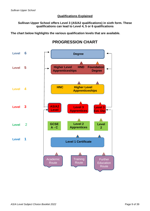### **Qualifications Explained**

### **Sullivan Upper School offers Level 3 (AS/A2 qualifications) in sixth form. These qualifications can lead to Level 4, 5 or 6 qualifications**

**The chart below highlights the various qualification levels that are available.**

## **PROGRESSION CHART**

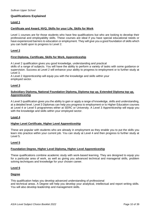### **Qualifications Explained**

#### **Level 1**

### **Certificate and Award, NVQ, Skills for your Life, Skills for Work**

Level 1 courses are for those students who have few qualifications but who are looking to develop their professional and employability skills. These courses are ideal if you have special educational needs or have experienced barriers to education or employment. They will give you a good foundation of skills which you can build upon to progress to Level 2.

#### **Level 2**

#### **First Diploma, Certificate, Skills for Work, Apprenticeship**

A Level 2 qualification gives you good knowledge, understanding and practical

skills of a range of subjects. You will have the ability to perform a variety of tasks with some guidance or supervision. Success at Level 2 will enhance your ability to progress to employment or to further study at Level 3.

A Level 2 Apprenticeship will equip you with the knowledge and skills within your employed sector.

#### **Level 3**

#### **Subsidiary Diploma, National Foundation Diploma, Diploma top up, Extended Diploma top up, Apprenticeship**

A Level 3 qualification gives you the ability to gain or apply a range of knowledge, skills and understanding, at a detailed level. Level 3 Diplomas can help you progress to employment or to Higher Education courses at Level 4 or Level 5 programmes either at SERC or University. A Level 3 Apprenticeship will equip you with the knowledge and skills within your employed sector.

#### **Level 4**

#### **Higher Level Certificate, Higher Level Apprenticeship**

These are popular with students who are already in employment as they enable you to put the skills you learn into practice within your current job. You can study at Level 4 and then progress to further study at Level 5.

#### **Level 5**

#### **Foundation Degree, Higher Level Diploma, Higher Level Apprenticeship**

These qualifications combine academic study with work-based learning. They are designed to equip you for a particular area of work, as well as giving you advanced technical and managerial skills, problem solving techniques and knowledge for your chosen career.

#### **Level 6**

#### **Degree**

This qualification helps you develop advanced understanding of professional and technical areas. A Degree will help you develop your analytical, intellectual and report writing skills. You will also develop leadership and management skills.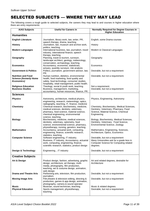# SELECTED SUBJECTS — WHERE THEY MAY LEAD

The following covers a rough guide to selected subjects, the careers they may lead to and courses in higher education where there are entry requirements:

| <b>A/AS Subjects</b>                                                     | <b>Useful for Careers in</b>                                                                                                                                                                     | <b>Normally Required for Degree Courses in</b><br><b>Higher Education</b>                                                                  |
|--------------------------------------------------------------------------|--------------------------------------------------------------------------------------------------------------------------------------------------------------------------------------------------|--------------------------------------------------------------------------------------------------------------------------------------------|
| <b>Humanities</b>                                                        |                                                                                                                                                                                                  |                                                                                                                                            |
| <b>English Literature</b>                                                | Journalism, library work, law, writer, PR,<br>speech therapy, drama, teaching.                                                                                                                   | English, some Drama courses                                                                                                                |
| <b>History</b>                                                           | Journalism, law, museum and archive work,<br>politics, teaching.                                                                                                                                 | History                                                                                                                                    |
| <b>Modern Languages</b>                                                  | International business, law, journalism, travel<br>industry, international finance, speech<br>therapy, teaching.                                                                                 | Modern & Classical Languages                                                                                                               |
| Geography                                                                | Planning, travel & tourism, surveyor,<br>landscape architect, geology, meteorology,<br>conservation, archaeology, teaching.                                                                      | Geography                                                                                                                                  |
| <b>Economics</b>                                                         | Accountancy, economist, statistician,<br>actuary, quantity surveyor, risk analysis                                                                                                               | Economics                                                                                                                                  |
| <b>Government &amp; Politics</b>                                         | Politics, journalism, government advisor, law,<br>PR.                                                                                                                                            | Desirable, but not a requirement                                                                                                           |
| <b>Nutrition and Food</b><br><b>Science (formerly Home</b><br>Economics) | Human nutrition, dietetics, environmental<br>health, food marketing, food quality and<br>safety, food technology, consumer studies,<br>hospitality, retail management, public health.            | Desirable, but not a requirement.                                                                                                          |
| <b>Religious Education</b><br><b>Business Studies</b>                    | Theology, social & youth work, teaching.<br>Business, management, marketing,<br>accountancy, human resources, finance, PR.                                                                       | Not a requirement.<br>Desirable, but not a requirement                                                                                     |
| <b>Sciences</b>                                                          |                                                                                                                                                                                                  |                                                                                                                                            |
| <b>Physics</b>                                                           | Astronomy, architecture, medical physics,<br>engineering, research, meteorology, optics,<br>radiography, teaching, IT, finance, medicine                                                         | Physics, Engineering, Astronomy                                                                                                            |
| <b>Chemistry</b>                                                         | Chemical research, biochemistry, medicine,<br>medical sciences, dentistry, veterinary,<br>pharmacy, food science, material science,<br>chemical engineering, environmental<br>science, teaching. | Chemistry, Biochemistry, Medical Sciences,<br>Dentistry, Veterinary, Pharmacy, Food<br>Science, Material Science, Chemical<br>Engineering  |
| <b>Biology</b>                                                           | Biochemistry, medicine, medical sciences,<br>dentistry, veterinary, optometry, food<br>science, environmental science, pharmacy,<br>physiotherapy, nursing, genetics, teaching.                  | Biology, Biochemistry, Medical Sciences,<br>Dentistry, Veterinary, Food Science,<br>Environmental Science, Zoology                         |
| <b>Mathematics</b>                                                       | Accountancy, actuarial work, computing,<br>engineering, finance, scientific research,<br>statistics, teaching.                                                                                   | Mathematics, Engineering, Sciences,<br>Architecture, Optics, Economics                                                                     |
| <b>Computer Science</b>                                                  | Software engineering, IT industry.<br>Business, IT industry, Accountancy, actuarial<br>work, computing, engineering, finance,<br>scientific research, statistics, product design                 | Desirable, but not a requirement<br>Many Universities ask for a grade less in<br><b>Computer Science for Computing related</b><br>degrees. |
| <b>Design &amp; Technology</b>                                           | Engineering, , IT industry                                                                                                                                                                       | Desirable, but not a requirement                                                                                                           |
| <b>Creative Subjects</b>                                                 |                                                                                                                                                                                                  |                                                                                                                                            |
| Art & Design                                                             | Product design, fashion, advertising, graphic<br>design, architecture, art therapy, multi-<br>media, photography, film production,<br>teaching, set & costume design, animation,<br>web design.  | Art and related degrees, desirable for<br>Architecture                                                                                     |
| <b>Drama and Theatre Arts</b>                                            | Performing arts, television, film production,<br>journalism.                                                                                                                                     | Desirable, but not a requirement                                                                                                           |
| <b>Moving Image Arts</b>                                                 | Film, theatre & television editing, directing &<br>production, games & app design, animation,                                                                                                    | Desirable, but not a requirement                                                                                                           |
| Music<br><b>Physical Education</b>                                       | photography, camera & sound operator<br>Musician, sound technician, teaching.<br>Sports management, physiotherapy,<br>teaching                                                                   | Music & related degrees<br>Desirable, but not a requirement                                                                                |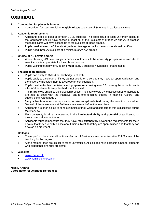## OXBRIDGE

#### 1. **Competition for places is intense**

• Competition for Law, Medicine, English, History and Natural Sciences is particularly strong.

#### 2. **Academic requirements**

- Applicants need to pass all of their GCSE subjects. The prospectus of each university indicates that applicants should have passed at least six of their subjects at grades A\* and A. In practice most applicants will have passed up to ten subjects at these grades.
- Pupils need at least 4 AS Levels at grade A. Average score for the modules should be *90%.*
- Pupils need three A2 subjects at a minimum of A<sup>\*</sup> A A grades

#### 3. **Choice of AS Levels and A2**

- When choosing AS Level subjects pupils should consult the university prospectus or website, to select subjects appropriate for their chosen course.
- Pupils wishing to apply for Medicine **must** study 3 subjects in Sciences / Mathematics

#### 4. **The selection process**

- Pupils can apply to Oxford or Cambridge, not both.
- Pupils apply to a college, or if they cannot decide on a college they make an open application and the university allocates them to a college for consideration.
- Pupils must make their **decisions and preparations during Year 13**. Leaving these matters until after AS Level results are published is not advised.
- The **interview** is critical to the selection process. The interviewers try to assess whether applicants are able to cope with the intensive, one-to-one teaching offered in tutorials (Oxford) and supervisions (Cambridge).
- Many subjects now require applicants to take an **aptitude test** during the selection procedure. Several of these are taken at Sullivan some weeks before the interviews.
- Applicants are often asked to send examples of their work and sometimes this is discussed during the interview.
- Each university is primarily interested in the **intellectual ability and potential** of applicants, not their extra-curricular activities.
- Applicants must demonstrate that they have **read extensively** beyond the requirements for the A Levels, that they are enthusiastic about their subject, that they are open-minded and that they can develop an argument.

#### 5. **Colleges**

- These perform the role and functions of a Hall of Residence in other universities PLUS some of the teaching for the degree.
- At the moment fees are similar to other universities. All colleges have hardship funds for students who experience financial problems.

#### 6. **Websites**

- [www.cam.ac.uk](http://www.cam.ac.uk/)
- [www.admissions.ox.ac.uk](http://www.admissions.ox.ac.uk/)

#### **Miss L Aranha Coordinator for Oxbridge References**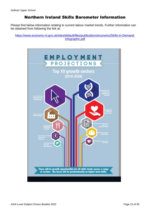## Northern Ireland Skills Barometer Information

Please find below information relating to current labour market trends. Further information can be obtained from following the link at:

[https://www.economy-ni.gov.uk/sites/default/files/publications/economy/Skills-in-Demand-](https://www.economy-ni.gov.uk/sites/default/files/publications/economy/Skills-in-Demand-Infographic.pdf)[Infographic.pdf](https://www.economy-ni.gov.uk/sites/default/files/publications/economy/Skills-in-Demand-Infographic.pdf)

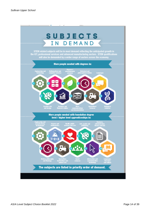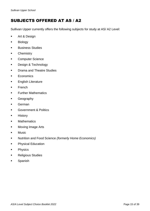# SUBJECTS OFFERED AT AS / A2

Sullivan Upper currently offers the following subjects for study at AS/ A2 Level:

- Art & Design
- Biology
- Business Studies
- **■** Chemistry
- **Computer Science**
- Design & Technology
- **•** Drama and Theatre Studies
- Economics
- English Literature
- French
- **Further Mathematics**
- Geography
- German
- **Government & Politics**
- History
- Mathematics
- Moving Image Arts
- Music
- Nutrition and Food Science *(formerly Home Economics)*
- **•** Physical Education
- Physics
- Religious Studies
- Spanish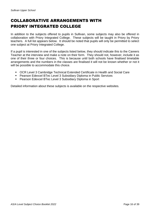# COLLABORATIVE ARRANGEMENTS WITH PRIORY INTEGRATED COLLEGE

In addition to the subjects offered to pupils in Sullivan, some subjects may also be offered in collaboration with Priory Integrated College. These subjects will be taught in Priory by Priory teachers. A full list appears below. It should be noted that pupils will only be permitted to select one subject at Priory Integrated College.

If a pupil is interested in one of the subjects listed below, they should indicate this to the Careers Teacher at the interview and make a note on their form. They should not, however, include it as one of their three or four choices. This is because until both schools have finalised timetable arrangements and the numbers in the classes are finalised it will not be known whether or not it will be possible to accommodate this choice.

- OCR Level 3 Cambridge Technical Extended Certificate in Health and Social Care
- Pearson Edexcel BTec Level 3 Subsidiary Diploma in Public Services
- Pearson Edexcel BTec Level 3 Subsidiary Diploma in Sport

Detailed information about these subjects is available on the respective websites.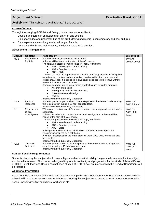### **Subject:** Art & Design **Examination Board:** CCEA

#### **Availability:** This subject is available at AS and A2 Level

#### **Course Content:**

Through the studying GCE Art and Design, pupils have opportunities to:

- Develop an interest in enthusiasm for art, craft and design;
- Gain knowledge and understanding of art, craft, desing and media in contemporary and past cultures;
- Gain experience in working in a broad range of media;
- Develop and enhance their creative, intellectual and artistic abilities.

#### **Assessment Arrangements**

| <b>Module</b>   | <b>Content</b>                            | <b>Assessment</b>                                                                                                                                                                                                                                                                                                                                                                                                                                                                                                                                                                                                                                                                                                                                                                                                                               | Weightings                  |
|-----------------|-------------------------------------------|-------------------------------------------------------------------------------------------------------------------------------------------------------------------------------------------------------------------------------------------------------------------------------------------------------------------------------------------------------------------------------------------------------------------------------------------------------------------------------------------------------------------------------------------------------------------------------------------------------------------------------------------------------------------------------------------------------------------------------------------------------------------------------------------------------------------------------------------------|-----------------------------|
| AS <sub>1</sub> | Experimental<br>Portfolio                 | Students develop, explore and record ideas.<br>A theme will be issued at the start of the AS course.<br>The following assessment objectives will apply to this unit:<br>AO1 - Knowledge & Understanding<br>$\bullet$<br>AO2 - Creative process<br>$AO3 - Skills$<br>This unit provides the opportunity for students to develop creative, investigative,<br>experimental, practical, technical and expressive skills, plus contextual and<br>critical knowledge. It is designed to give students space to be creative without<br>the burden of a specified outcome.<br>Students can work in a range of media and techniques within the areas of:<br>Art, craft and design;<br>$\bullet$<br>Photography and lens-based media;<br>Three-Dimensional Design<br>$\bullet$<br><b>Textiles</b><br>$\bullet$<br>Internally Marked, Externally Moderated | 50% AS<br>20% A Level       |
| AS <sub>2</sub> | Personal<br>Response                      | Students present a personal outcome in response to the theme. Students bring<br>this to completion during a 10 hour controlled test.<br>Internally Marked, Externally Moderated                                                                                                                                                                                                                                                                                                                                                                                                                                                                                                                                                                                                                                                                 | 50% AS<br>20% A Level       |
| A21             | Personal and<br>Critical<br>Investigation | Written and practical work inform each other and are intergrated, but are marked<br>separately.<br>This unit includes both practical and written investigations. A theme will be<br>issued at the start of the A2 course.<br>The following assessment objectives will apply to this unit:<br>AO1 - Knowledge & Understanding<br>$\bullet$<br>AO2 - Creative process<br>AO3 - Skills<br>Building on the skills acquired at AS Level, students develop a personal<br>investigation, inspired by a set theme.<br>A written investigation linked to the practical work (1000-2000 words) will also<br>be completed.<br>Internally Marked, Externally Moderated                                                                                                                                                                                      | 60% A2<br>36% of A<br>Level |
| A22             | Thematic<br>Outcome                       | Students present an outcome in response to the theme. Students bring this to<br>completion during a 15 hour controlled test.<br>Internally Marked, Externally Moderated                                                                                                                                                                                                                                                                                                                                                                                                                                                                                                                                                                                                                                                                         | 40% A2<br>24% of A<br>Level |

#### **Subject Specific Requirements:**

Students choosing this subject should have a high standard of artistic ability, be genuinely interested in the subject and be self-motivated. The course is designed to promote continuity and progression for the study of Art and Design at GCSE Level. If Art and Design has not been studied at GCSE Level an Interview with the Head of Department will be required.

#### **Additional Information**

Apart from the completion of the Thematic Outcome (completed in school, under supervised examination conditions) all work will be of a coursework nature. Students choosing this subject are expected to work independently outside school, including visiting exhibitions, workshops etc.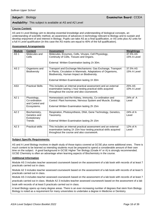#### **Availability:** This subject is available at AS and A2 Level

#### **Course Content:**

AS and A Level Biology aim to develop essential knowledge and understanding of biological concepts, an understanding of scientific method, an awareness of advances in technology relevant to Biology and to sustain and develop enjoyment of and interest in Biology. Pupils can take AS as a final qualification, or AS units plus A2 units for a full A Level qualification (in this case the AS marks are equal to 40% of the full qualification).

#### **Assessment Arrangements**

| <b>Module</b>   | <b>Content</b>                                                 | <b>Assessment</b>                                                                                                                                                                                                        | <b>Weightings</b>       |
|-----------------|----------------------------------------------------------------|--------------------------------------------------------------------------------------------------------------------------------------------------------------------------------------------------------------------------|-------------------------|
| AS <sub>1</sub> | Molecules and<br>Cells                                         | Molecules, Enzymes, Cells, Viruses, Cell Physiology,<br>Continuity of Cells, Tissues and Organs.                                                                                                                         | 37.5% AS<br>15% A Level |
|                 |                                                                | External Written Examination lasting 1h 30m.                                                                                                                                                                             |                         |
| AS <sub>2</sub> | Organisms and<br>Biodiversity                                  | Transport and Exchange Mechanisms: Gas Exchange, Transport<br>in Plants, Circulation in Mammals. Adaptations of Organisms,<br>Biodiversity, Human Impact on Biodiversity.<br>External Written Examination lasting 1h 30m | 37.5% AS<br>15% A Level |
| AS3             | <b>Practical Skills</b>                                        | This includes an internal practical assessment and an external<br>examination lasting 1 hour testing practical skills acquired<br>throughout the course and also coursework.                                             | 25% AS<br>10% A Level   |
| A21             | Physiology,<br>Co-ordination<br>and Control and<br>Ecosystems. | Homeostasis and the Kidney, Immunity, Co-ordination and<br>Control: Plant hormones, Nervous System and Muscle, Ecology.<br>External Written Examination lasting 2h 15m                                                   | 24% of A<br>Level       |
| A22             | Biochemistry,<br>Genetics and<br>Evolutionary<br>Trends        | Respiration, Photosynthesis, DNA, Gene Technology, Genetics,<br>Taxonomy.<br>External Written Examination lasting 2h 15m                                                                                                 | 24% of A<br>Level       |
| A23             | <b>Practical skills</b>                                        | This includes an internal practical assessment and an external<br>examination lasting 1h 15m hour testing practical skills acquired<br>throughout the course and also coursework.                                        | 12% of A<br>Level       |

#### **Subject Specific Requirements:**

AS and A Level Biology involves in-depth study of those topics covered at GCSE plus some additional ones. There is much content to be learned so intending students must be prepared to spend a considerable amount of their own time on the subject. A good background in GCSE Higher Tier Biology (Grade A\* or A) is strongly recommended. GCSE Chemistry is often an advantage when learning aspects of Biochemistry in the course.

#### **Additional Information**

Module AS 3 includes teacher assessed coursework based on the assessment of a lab book with records of at least 7 practicals carried out in class.

Module A2 3 includes teacher assessed coursework based on the assessment of a lab book with records of at least 5 practicals carried out in class.

Module AS 3 includes teacher assessed coursework based on the assessment of a lab book with records of at least 7

practicals carried out in class. Module A2 3 includes teacher assessed coursework based on the assessment of a lab book with records of at least 5 practicals carried out in class.

A level Biology opens up many degree areas. There is an ever-increasing number of degrees that stem from Biology. Biology is noted as a requirement for many universities to undertake a degree in Medicine or Dentistry.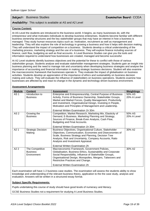### **Subject:** Business Studies **Examination Board:** CCEA

#### **Availability:** This subject is available at AS and A2 Level

#### **Course Content:**

At AS Level the students are introduced to the business world. It begins, as many businesses do, with the entrepreneur and what motivates individuals to develop business enterprises. Students become familiar with different business ownership structures and the key stakeholder groups that may have an interest in how a business is managed. They study human resources topics such as: motivation, recruitment as well as management and leadership. They will also explore the role of technology in growing a business and how it helps with decision making. They will understand the impact of competition on a business. Students develop a critical understanding of the marketing process, marketing strategy and the use of e-business. They will explore finance including sources of finance, cash flow, budgeting as well as final accounts. A Level Business Studies can give you the tools and information required to understand how businesses are created, managed and become successful.

At A2 Level students identify business objectives and the potential for these to conflict with those of various stakeholder groups. Students analyse and evaluate stakeholder management strategies. Students gain an insight into business planning and the need to manage risk and uncertainty when developing business strategies and analyse the importance of accounting and financial information in making strategic business decisions. Student will also examine the macroeconomic framework that businesses operate in. They evaluate the impact of globalisation on business activities. Students develop an appreciation of the importance of ethics and sustainability on business decision making and culture. They will evaluate the influence of stakeholders on business operations. Students examine how businesses are affected by and react to change in the dynamic and technology-driven business environment.

| <b>Module</b>   | <b>Content</b>                                    | <b>Assessment</b>                                                                                                                                                                                                                                                                                                                                         | <b>Weightings</b>     |
|-----------------|---------------------------------------------------|-----------------------------------------------------------------------------------------------------------------------------------------------------------------------------------------------------------------------------------------------------------------------------------------------------------------------------------------------------------|-----------------------|
| AS <sub>1</sub> | Introduction to<br><b>Business</b>                | Enterprise and Entrepreneurship, Central Purpose of Business<br>Activity, Forms of Business Ownership, Stakeholder Groups,<br>Market and Market Forces, Quality Management, Productivity<br>and Investment, Organisational Design, Investing in People,<br>Motivation and Principles of Management and Leadership.<br>External Written Examination 1h 30m | 50% AS<br>20% A Level |
| AS <sub>2</sub> | Growing the<br><b>Business</b>                    | Competition, Market Research, Marketing Mix, Elasticity of<br>Demand, E-Business, Marketing Planning and Strategy,<br>Sources of Finance, Break-Even Analysis, Cash Flow,<br>Budgeting and Final Accounts.                                                                                                                                                | 50% AS<br>20% A Level |
| A21             | <b>Strategic Decision</b><br>Making               | External Written Examination 1h 30m<br>Business Objectives, Organisational Culture, Stakeholder<br>Objectives, Communication, Economies and Diseconomies of<br>Scale, Business Strategy and Planning, Decision Tree<br>Analysis, Risk and Uncertainty, Company Accounts, Ratio<br>Analysis and Investment Appraisal.<br>External Written Examination 2h   | 30% A2                |
| A2 2            | The Competitive<br><b>Business</b><br>Environment | Macroeconomic Framework, Government Policies,<br>Globalisation, Business Ethics, Sustainability and Corporate<br>Social Responsibility, Influence of Stakeholder Groups,<br>Organisational Design, Monopolies, Mergers, Takeovers and<br>Restrictive Practices and Change.<br>External Written Examination 2h                                             | 30% A2                |

#### **Assessment Arrangements**

Each examination will have 1-2 business case studies. The examination will assess the students ability to show knowledge and understanding of the relevant business theory, application to the the case study, analysis and evaluation. Answers will be written in a structured essay format.

#### **Subject Specific Requirements:**

Pupils undertaking this course of study should have good levels of numeracy and literacy.

GCSE Business Studies not a requirement for studying A Level Business Studies.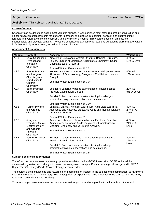#### **Availability:** This subject is available at AS and A2 Level

#### **Course Content:**

Chemistry can be described as the most versatile science. It is the science most often required by universities and higher education establishments for students to embark on a degree in medicine, dentistry and pharmacology, forensic and veterinary science, chemistry and chemical engineering. This course places an emphasis on mathematical and practical content. The course enhances analytical skills. Students will acquire skills that are valued in further and higher education, as well as in the workplace.

#### **Assessment Arrangements**

| <b>Module</b>   | <b>Content</b>                                                                                      | <b>Assessment</b>                                                                                                                                                                                             | <b>Weightings</b>           |
|-----------------|-----------------------------------------------------------------------------------------------------|---------------------------------------------------------------------------------------------------------------------------------------------------------------------------------------------------------------|-----------------------------|
| AS <sub>1</sub> | Basic Concepts in<br>Physical and<br>Inorganic                                                      | Amounts of Substance, Atomic Structure, Bonding, Structure,<br>Forces, Shapes of Molecules, Quantitative Chemistry, Redox,<br>Qualitative tests; Group VII                                                    | 40% AS<br>16% A Level       |
|                 | Chemistry                                                                                           | External Written Examination 1h 30m                                                                                                                                                                           |                             |
| AS <sub>2</sub> | <b>Further Physical</b><br>and Inorganic<br>Chemistry and<br>Introduction to                        | Nomenclature and Isomerism, Hydrocarbons, Halogenoalkanes<br>Alchohols, IR Spectroscopy, Energetics, Equilibrium, Kinetics,<br>Group II                                                                       | 40% AS<br>16% A Level       |
|                 | Organic<br>Chemistry                                                                                | External Written Examination 1h 30m                                                                                                                                                                           |                             |
| AS <sub>3</sub> | <b>Basic Practical</b><br>Chemistry                                                                 | Booklet A: Laboratory based examination of practical tasks<br>Practical Examination 1h 15m                                                                                                                    | 20% AS<br>8% A Level        |
|                 |                                                                                                     | Booklet B: Practical theory questions testing knowledge of<br>practical techniques, observations and calculations.                                                                                            |                             |
|                 |                                                                                                     | External Written Examination 1h 15m                                                                                                                                                                           |                             |
| A21             | <b>Further Physical</b><br>and Organic<br>Chemistry                                                 | Enthalpy, Entropy, Kinetics, Equilibrium, Acid-Base Equilibria,<br>Aldehydes and Ketones, Carboxylic Acids and their Derivatives,<br>Aromatic Chemistry.                                                      | 40% A2<br>24% of A<br>Level |
|                 |                                                                                                     | External Written Examination: 2h                                                                                                                                                                              |                             |
| A22             | Analytical,<br><b>Transition Metals,</b><br>Electrchemistry<br>and Organic<br>Nitrogen<br>Chemistry | Analytical techniques, Transition Metals, Electrode Potentials,<br>Amines, Amides, Amino Acids, Polymers, Chromatography,<br>Medicinal Chemistry and volumetric Analysis.<br>External Written Examination: 2h | 40% A2<br>24% of A<br>Level |
| A2 3            | <b>Further Practical</b><br>Chemistry                                                               | Booklet A: Laboratory based examination of practical tasks<br>Practical Examination 1h 15m                                                                                                                    | 20% A2<br>12% of A          |
|                 |                                                                                                     | Booklet B: Practical theory questions testing knowledge of<br>practical techniques, observations and calculations.                                                                                            | Level                       |
|                 |                                                                                                     | External Written Examination 1h 15m                                                                                                                                                                           |                             |

#### **Subject Specific Requirements:**

The AS and A Level courses rely heavily upon the foundation laid at GCSE Level. Most GCSE topics will be developed in greater depth along with many completely new concepts. For success, a good background in GCSE Higher Tier Chemistry (Grade A<sup>\*</sup>/A) is strongly recommended.

The course is both challenging and rewarding and demands an interest in the subject and a commitment to hard work both in and outside of the laboratory. The development of experimental skills is central to the course, as is the ability to express ideas clearly and concisely.

There are no particular mathematical requirements although a sound grasp of basic mathematics is important.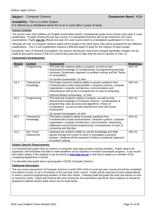#### **Subject:** Computer Science **Examination Board:** AQA

**Availability:** This is a Linear Subject. It is offered as a standalone alone AS or an A Level after 2 years of study

#### **Course Content:**

The course uses AQA syllabus (an English examination board), consequently pupils must choose a two year A Level qualification. If pupils choose the two year course, it is anticipated that they will not be entered for AS Level examinations. Pupils **may be** offered one year AS Level course which is a standalone qualification in Year 13.

Although all Year 13 Computer Science pupils will be taught in the same class, they will be prepared for two different qualifications. The A Level qualification requires a different depth of study for the majority of topics taught.

During the Year 13 Parental Consultation, the teacher will discuss choice and mutually agreeable changes can be made to the pupil's choice of AS or A Level at this point but no later than the end of January of Year 13.

#### **Assessment Arrangements**

| <b>Module</b>   | <b>Content</b>            | <b>Assessment</b>                                                                                                                                                                                                                                                                        | <b>Weightings</b>  |
|-----------------|---------------------------|------------------------------------------------------------------------------------------------------------------------------------------------------------------------------------------------------------------------------------------------------------------------------------------|--------------------|
| AS <sub>1</sub> | Programming               | This tests the students ability to program, as well as their<br>theorectical knowledge of fundatmentals of programming and data<br>structures, Systematics approach to problem solving and the Theory<br>of computation.                                                                 | 50% AS             |
|                 |                           | On Screen Examination: 1h 45m                                                                                                                                                                                                                                                            |                    |
| AS <sub>2</sub> | Thoerectical<br>Knowledge | This Paper tests the students ability to answer questions from<br>Fundamentals of data representation, computer systems, computer<br>organisation, computer architecture, communications and<br>networking as well as the Consequences of uses of computing                              | 50% AS             |
|                 |                           | External Written Examination 1h 30m                                                                                                                                                                                                                                                      |                    |
| A2 1            | Programming               | This tests the students's ability to program, as well as their<br>theorectical knowledge of Computer Science - fundamentals of<br>programming, data stuctures and algorithms, Theory of<br>Computation, as well as skills learned from their Non-Exam<br>Assessment                      | 40% A <sub>2</sub> |
|                 |                           | On Screen Examination: 2h 30m                                                                                                                                                                                                                                                            |                    |
| A22             | Theorectical<br>Knowledge | This tests a student's ability to answer questions from<br>Fundamentals of data representation, computer systems, computer<br>organisation, computer architecture, communication, networking,<br>databases and functional programming, Consequences of uses of<br>computing and Big data | 40% A2             |
| A2 3            | Non-Exam<br>Assessment    | Assesses the student's ability to use the knowledge and skills<br>gained through the course to solve or investigate a practical<br>problem. Students will be expected to follow a systematic approach<br>to problem solving.                                                             | 20% A2             |

#### **Subject Specific Requirements:**

It is essential that pupils have an interest in computers and enjoy problem solving activities. Pupils need to be organized, self-motivated and able to meet deadlines set by teachers to monitor coursework progress. If you would like further details of the syllabus it can be found at **[www.aqa.org.uk](http://www.aqa.org.uk/)** or feel free to speak to a member of the computing department in school.

It is desirable that pupils have a good grade in GCSE Computer Science

#### **Additional Information**

The non-exam assessment of Computer Science is worth 20% of the A Level two year course and will be completed from March of year 13 up to Christmas of the 2nd year of the course. Pupils will be expected to work independently to solve a practical programming problem of their own choice. Teaching staff will guide this work and advise on how to maximise marks. Pupils will continue this work during the AS examination period for other subjects so should be prepared to attend classes while others are on study leave.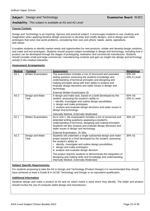### **Subject:** Design and Technology **Examination Board:** WJEC

#### **Availability:** This subject is available at AS and A2 Level

#### **Course Content:**

Design and Technology is an inspiring, rigorous and practical subject. It encourages students to use creativity and imagination when applying iterative design processes to develop and modify designs, and to design and make prototypes that solve real world problems, considering their own and others' needs, wants, aspirations and values.

It enables students to identify market needs and opportunities for new products, initiate and develop design solutions, and make and test prototypes. Students should acquire subject knowledge in design and technology, including how a product can be developed through the stages of prototyping, realisation and commercial manufacture. Students should consider small and large commercial / manufacturing contexts and gain an insight into design and technology activity in the creative industries.

#### **Assessment Arrangements**

| <b>Module</b>   | <b>Content</b>             | <b>Assessment</b>                                                                                                                                                                                                                                                                                                     | Weightings            |
|-----------------|----------------------------|-----------------------------------------------------------------------------------------------------------------------------------------------------------------------------------------------------------------------------------------------------------------------------------------------------------------------|-----------------------|
| AS <sub>1</sub> | <b>Written Examination</b> | The examination includes a mix of structured and extended<br>writing question assessing the students knowledge and<br>understanding of technical principles and designing and<br>making principles along with their ability to analyse and<br>evaluate design decisions and wider issues in design and<br>technology. | 50% AS<br>20% A Level |
|                 |                            | <b>External Written Examination 2h</b>                                                                                                                                                                                                                                                                                |                       |
| AS <sub>2</sub> | Design and Make<br>Task    | A design and make task, based on a brief developed by the<br>student, assessing the student's ability to:<br>i. identify, investigate and outline design possibilities;<br>ii. design and make prototypes;<br>ii analyse and evaluate design decisions and wider issues in<br>design and technology.                  | 50% AS<br>20% A Level |
|                 |                            | Internally Marked, Externally Moderated                                                                                                                                                                                                                                                                               |                       |
| A21             | <b>Written Examination</b> | As in Unit 1, the examination includes a mix of structured and<br>extended writing questions assessing a student's<br>understanding of technical, designing and making principles.<br>Students will also analyse and evaluate design decisions and<br>wider issues in design and technology                           | 30% A2                |
|                 |                            | External Examination: 2h 30m                                                                                                                                                                                                                                                                                          |                       |
| A2 2            | Design and Make<br>Task    | Students will undertake a single substantial design and make<br>project based on a brief developed by the student, assessing<br>the student's ability to:<br>identify, investigate and outline design possibilities;<br>ii. design and make prototypes;<br>iii. analyse and evaluate design decision.                 | 30% A2                |
|                 |                            | The project requires students to demonstrate the integration of<br>designing and making skills and knowledge and understanding.<br>Internally Marked, Externally Moderated                                                                                                                                            |                       |

#### **Subject Specific Requirements:**

For students proposing to take the AS in Design and Technology (Product Design) it is recommended they should have achieved at least a Grade B in GCSE Technology and Design or an equivalent qualification.

#### **Additional Information**

Students design and make a product at AS and A2 which meets a need which they identify. The folder and product should involve the use of computer-aided design and manufacture.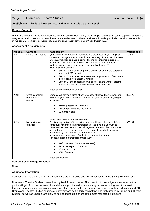**Subject:** Drama and Theatre Studies **Examination Board:** AQA

**Availability:** This is a linear subject, and as only available at A2 Level.

#### **Course Content:**

Drama and Theatre Studies at A Level uses the AQA specification. As AQA is an English examination board, pupils will complete a two year A Level course with no examination at the end of Year 1. The A Level has substantial practical exploration which conists of two separate components worth 60%, and one examination at the end of Year 2 worth 40%.

#### **Assessment Arrangements**

| <b>Module</b> | <b>Content</b>                                  | <b>Assessment</b>                                                                                                                                                                                                                                                                                                                                                                                                                                                                                                                                                                                                                                                                                                                   | <b>Weightings</b> |
|---------------|-------------------------------------------------|-------------------------------------------------------------------------------------------------------------------------------------------------------------------------------------------------------------------------------------------------------------------------------------------------------------------------------------------------------------------------------------------------------------------------------------------------------------------------------------------------------------------------------------------------------------------------------------------------------------------------------------------------------------------------------------------------------------------------------------|-------------------|
| A21           | Drama and Theatre                               | Questions on live production seen and two prescribed plays. The plays<br>chosen encourage students to explore a vast array of literature. The texts<br>are equally challenging and exciting. The module inspires students to<br>appreciate plays and their contexts. This module also encourages<br>students to appreciate, analyse and evaluate live theatre. The<br>examination consists of:<br>Section A: one question (from a choice) on one of the set plays<br>from List A (25 marks)<br>Section B: one three part question on a given extract from one of<br>the set plays from List B (30 marks)<br>Section C: one question (from a choice) on the work of theatre<br>makers in a single live theatre production (25 marks) | 40% A2            |
|               |                                                 | External Written Examination: 3h                                                                                                                                                                                                                                                                                                                                                                                                                                                                                                                                                                                                                                                                                                    |                   |
| A22           | Creating original<br>Performance<br>(practical) | Students will devise a piece of performance, influenced by the work and<br>methodologies of one prescribed practitioner (monologue/duologue/group<br>performance).<br>Working notebook (40 marks)<br>Devised performance (20 marks)<br>60 marks in total                                                                                                                                                                                                                                                                                                                                                                                                                                                                            | 30% A2            |
| A2 3          | Making theatre<br>(practical)                   | Internally marked, externally moderated.<br>Practical exploration of three extracts from published plays with different<br>contextual influences. The interpretation of the third extract must be<br>influenced by the work and methodologies of one prescribed practitioner<br>and performed as a final assessed piece (monologue/duologue/group<br>performance). The task can be undertaken as<br>performer/director/designer. Students are required to produce a<br>Reflective Report of their preparation work.<br>Performance of Extract 3 (40 marks)<br>Reflective report (20 marks)<br>60 marks in total<br>30% of A-level<br>Externally marked.                                                                             | 30% A2            |

#### **Subject Specific Requirements:**

None.

#### **Additional Information**

Components 2 and 3 of the A Level course are practical units and will be assessed in the Spring Term (A Level).

Drama and Theatre Studies is a well-recognised A Level course. The breadth of knowledge and experience that pupils will gain from the course will stand them in good stead for almost any career including law. It is a useful foundation for aspiring actors or directors, and for careers in the arts, media and film, journalism, education and PR. Drama and Theatre Studies courses at university are particularly competitive and high grades in Drama and Theatre Studies, as well as English, are likely to be needed to gain offers at the most respected institutions.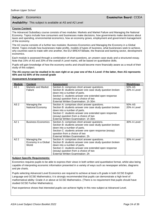#### **Availability:** This subject is available at AS and A2 Level

#### **Course Content:**

The Advanced Subsidiary course consists of two modules: Markets and Market Failure and Managing the National Economy. Topics include how consumers and businesses make decisions, how governments make decisions about taxes and spending, environmental economics, how an economy grows, employment and government management of the economy.

The A2 course consists of a further two modules: Business Economics and Managing the Economy in a Global World. Topics include how businesses make profits, models of types of business, what businesses seek to achieve, why countries want to trade with one another, the EU/ BREXITdebate, the financial and banking sector, development economics.

Each module is assessed through a combination of short questions, an unseen case study and a structured essay. Note that 15% of AS and 20% of the overall A Level marks, will be based on quantitative skills.

Pupils will gain knowledge of how the economy works and should become more financially aware as a result of their study of this subject.

**The AS course can be studied in its own right or as year one of the A Level: if the latter, then AS represents 40% and A2 60% of the overall grade**

| <b>Assessment Arrangements</b> |  |
|--------------------------------|--|
|                                |  |

| <b>Module</b>    | <b>Content</b>            | <b>Assessment</b>                                         | Weightings  |
|------------------|---------------------------|-----------------------------------------------------------|-------------|
| AS <sub>1</sub>  | Markets and Market        | Section A: comprises short answer questions.              | 50% AS      |
|                  | Failure                   | Section B: students answer one case study question broken | 20% A Level |
|                  |                           | down into a number of parts.                              |             |
|                  |                           | Section C: students answer one extended open response     |             |
|                  |                           | (essay) question from a choice of two                     |             |
|                  |                           | External Written Examination: 1h 30m                      |             |
| AS <sub>2</sub>  | Managing the              | Section A: comprises short answer questions.              | 50% AS      |
|                  | National Economy          | Section B: students answer one case study question broken | 20% A Level |
|                  |                           | down into a number of parts.                              |             |
|                  |                           | Section C: students answer one extended open response     |             |
|                  |                           | (essay) question from a choice of two                     |             |
|                  |                           | External Written Examination: 1h 30m                      |             |
| A21              | <b>Business Economics</b> | Section A: comprises short answer questons.               | 30% A Level |
|                  |                           | Section B: students answer one case study question broken |             |
|                  |                           | down into a number of parts.                              |             |
|                  |                           | Section C: students answer one open response (essay)      |             |
|                  |                           | question from a choice of two                             |             |
|                  |                           | External Written Examination: 2h                          |             |
| A <sub>2</sub> 2 | Managing the              | Section A: comprises short answer questions.              | 30% A Level |
|                  | Economy in a Global       | Section B: students answer one case study question broken |             |
|                  | World                     | down into a number of parts.                              |             |
|                  |                           | Section C: students answer one extended open response     |             |
|                  |                           | (essay) question from a choice of two                     |             |
|                  |                           | External Written Examination: 2h                          |             |

#### **Subject Specific Requirements:**

Economics requires pupils to be able to express their views in both written and quantitative format, whilst also being capable of interpreting economic information presented in a variety of ways such as newspaper articles, diagrams and pie charts.

Pupils selecting Advanced Level Economics are required to achieve at least a B grade in both GCSE English Language and GCSE Mathematics; it is strongly recommended that pupils can demonstrate a high level of mathematical ability: Grade A or above at GCSE Mathematics. (There is no requirement that pupils should have studied GCSE Further Mathematics).

Past experience shows that interested pupils can achieve highly in this new subject at Advanced Level.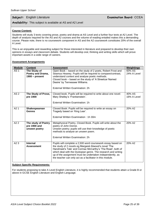### **Subject:** English Literature **Examination Board:** CCEA

#### **Availability:** This subject is available at AS and A2 Level

#### **Course Content:**

Students will study 3 texts covering prose, poetry and drama at AS Level and a further four texts at A2 Level. The depth of analysis required for the AS and A2 courses and the volume of reading entailed makes this a demanding course. Please note, there is no coursework component in AS and the A2 coursework constitutes 20% of the overall A Level.

This is an enjoyable and rewarding subject for those interested in literature and prepared to develop their own opinions in essays and classroom debate. Students will develop oral, thinking and writing skills which will prove important assets in a wide range of careers.

#### **Assessment Arrangements**

| <b>Module</b>    | <b>Content</b>                                        | <b>Assessment</b>                                                                                                                                                                                                                                                                                                                                                             | <b>Weightings</b>     |
|------------------|-------------------------------------------------------|-------------------------------------------------------------------------------------------------------------------------------------------------------------------------------------------------------------------------------------------------------------------------------------------------------------------------------------------------------------------------------|-----------------------|
| AS <sub>1</sub>  | The Study of<br>Poetry and Drama,<br>$1900$ – present | Open Book - based on the study of 2 poets, Robert Frost and<br>Seamus Heaney. Pupils will be required to compare/contrast,<br>understand context and analyse poetic methods.<br>Closed book - based on the study of 'A Streetcar Named<br>Desire' by Tennessee Williams.<br>External Written Examination: 2h                                                                  | 60% AS<br>24% A Level |
| AS <sub>2</sub>  | The Study of Prose,<br>pre 1900                       | Closed book. Pupils will be required to write about one novel:<br>Mary Shelley's 'Frankenstein'.<br>External Written Examination: 1h                                                                                                                                                                                                                                          | 40% AS<br>16% A Level |
| A2 1             | Shakespearean<br><b>Genres</b>                        | Closed Book: Pupils will be required to write an essay on<br>Tragedy based on 'King Lear'.<br>External Written Examination: 1h 30m                                                                                                                                                                                                                                            | 20% A2                |
| A <sub>2</sub> 2 | The study of Poetry<br>pre 1900 and<br>unseen poetry  | Metaphysical Poetry, Closed Book. Pupils will write about the<br>poetry of John Donne.<br>Unseen poetry; pupils will use their knowledge of poetic<br>methods to analyse an unseen poem.<br>External Written Examination: 2h                                                                                                                                                  | 20% A2                |
| A23              | <b>Internal</b><br><b>Assessment</b>                  | Pupils will complete a 2,500 word coursework essay based on<br>the study of 2 novels eg Margaret Atwood's novel 'The<br>Handmaid's Tale' and Cormac McCarthy's 'The Road', both of<br>which deal with the Dystopian genre. The research and writing<br>up of the assignment must be undertaken independently, as<br>the teacher can only act as a facilitator in this module. | 20% A <sub>2</sub>    |

#### **Subject Specific Requirements:**

For students proposing to take A Level English Literature, it is highly recommended that students attain a Grade B or above in GCSE English Literature and English Language.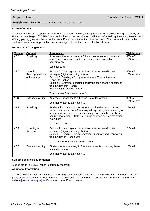### **Subject:** French **Examination Board:** CCEA

#### **Availability:** This subject is available at AS and A2 Level

#### **Course Content:**

The specification builds upon the knowledge and understanding, concepts and skills acquired through the study of French at Key Stage 4 (GCSE). The examinations will assess the four skill areas of Speaking, Listening, Reading and Writing, placing great emphasis on the use of French as the medium of assessment. The course will develop the student's awareness, appreciation and knowledge of the culture and civilisation of France.

#### **Assessment Arrangements**

| <b>Module</b>    | <b>Content</b>                               | <b>Assessment</b>                                                                                                                                                                                                                                                                                                                                      | <b>Weightings</b>     |
|------------------|----------------------------------------------|--------------------------------------------------------------------------------------------------------------------------------------------------------------------------------------------------------------------------------------------------------------------------------------------------------------------------------------------------------|-----------------------|
| AS <sub>1</sub>  | Speaking                                     | A presentation based on an AS Level theme related to an aspect<br>of a French-speaking country or community, followed by a<br>conversation.                                                                                                                                                                                                            | 30% AS<br>12% A Level |
|                  |                                              | Lasts for 11m.                                                                                                                                                                                                                                                                                                                                         |                       |
| AS <sub>2</sub>  | Listening,<br>Reading and Use<br>of Language | Section A: Listening - two questions based on two discrete<br>passages (digital recording) (40m)<br>Section B: Reading - Comprehension and Translation from<br>French to English<br>Section C: Grammar exercises and translation of short sentences<br>from English into French<br>Section B & C last for 1h 20m<br>Total Written Examination time: 2h | 40% AS<br>16% A Level |
| AS <sub>3</sub>  | <b>Extended Writing</b>                      | An essay in response to a French film or literary text.<br>External Written Examination: 1h                                                                                                                                                                                                                                                            | 30% AS<br>12% A Level |
| A21              | Speaking                                     | Students introduce and discuss one individual research project<br>based on an aspect of a French-speaking country or community or<br>area (a cultural aspect or an historical period from the twentieth<br>century or a region) – lasts 6m. This is followed by a conversation<br>lasting 9m.<br>Total Time: 15m                                       | 18% A2                |
| A22              | Listening &<br>Reading                       | Section A: Listening - two questions based on two discrete<br>passages (digital recording) (45m)<br>Section B: Reading - Comprehension, Summary and Translation<br>from English to French (2h)<br>Total Written Examination time: 2h 45m                                                                                                               | 24% A2                |
| A <sub>2</sub> 3 | <b>Extended Writing</b>                      | Students write one essay in French on a set text that they have<br>studied in school.                                                                                                                                                                                                                                                                  | 18% A2                |
|                  |                                              | External Written Examination: 1h                                                                                                                                                                                                                                                                                                                       |                       |

#### **Subject Specific Requirements:**

A good grade in GCSE French is normally essential.

#### **Additional Information**

There is no coursework. However, the Speaking Tests are conducted by an external examiner and normally take place on a selected date in May. Students are advised to look at the new specifications for French on the CCEA website [\[www.ccea.org.uk\]](file://///LocalFS.site/Staff/Careers%20CEAIG/Year%2012%20Subject%20Choice/2020%20AS%20A%20Level%20Booklet/www.ccea.org.uk%20) and/or speak to your French teacher.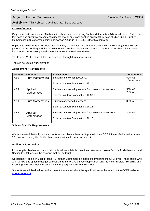### **Subject:** Further Mathematics **Examination Board:** CCEA

**Availability:** This subject is available at AS and A2 Level

#### **Course Content:**

Only the ablest candidates in Mathematics should consider taking Further Mathematics Advanced Level. Due to the fast pace and specification content students should only consider this option if they have studied GCSE Further Mathematics **and** expect to achieve at least an A Grade in GCSE Further Mathematics.

Pupils who select Further Mathematics will study the A level Mathematics specification in Year 13 (as detailed on page 30 of the booklet) and then in Year 14 take Further Mathematics A level. The Further Mathematics A level builds upon the knowledge and content from GCE A level Mathematics.

The Further Mathematics A level is assessed through four examinations.

There is no course work element.

#### **Assessment Arrangements**

| <b>Module</b>    | <b>Content</b>                | <b>Assessment</b>                                       | Weightings            |
|------------------|-------------------------------|---------------------------------------------------------|-----------------------|
| AS <sub>1</sub>  | <b>Pure Mathematics</b>       | Students answer all questions.                          | 50% AS<br>20% A Level |
|                  |                               | External Written Examination: 1h 30m                    |                       |
| AS <sub>2</sub>  | Applied<br><b>Mathematics</b> | Students answer all questions from two chosen sections. | 50% AS<br>20% A Level |
|                  |                               | External Written Examination: 1h 30m                    |                       |
| A <sub>2</sub> 1 | <b>Pure Mathematics</b>       | Students answer all questions.                          | 30% A2                |
|                  |                               | External Written Examination: 2h 15m                    |                       |
| A22              | Applied<br><b>Mathematics</b> | Students answer all questions from two chosen sections. | 30% A2                |
|                  |                               | External Written Examination: 2h 15m                    |                       |

#### **Subject Specific Requirements:**

We recommend that only those students who achieve at least an A grade in their GCE A Level Mathematics in Year 13 continue to study the Further Mathematics A level course in Year 14.

#### **Additional Information**

In the Applied Mathematics units' students will complete two sections. We have chosen Section A: Mechanics 1 and Section C: Statistics as the sections that will be taught.

Occasionally, pupils in Year 14 take AS Further Mathematics instead of completing the full A level. Those pupils who wish to take this option must get permission from the Mathematics department and the Vice Principal (Teaching and Learning) to ensure they meet minimum study requirements of the school.

Students are advised to look at the content information about the specification can be found on the CCEA website [www.ccea.org.uk.](http://www.ccea.org.uk/)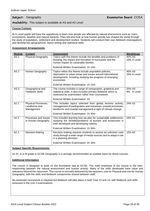#### **Availability:** This subject is available at AS and A2 Level

#### **Course Content:**

At A Level pupils will have the opportinuty to learn how people are affected by natural phenomena such as rivers, ecosystems, weather and natural hazards. They will also look at how human activity has shaped the world through the study of population, settlement and development studies. Students will conduct their own fieldwork investigations and develop key geographical, report writing and statistical skills.

#### **Assessment Arrangements**

| <b>Module</b>    | <b>Content</b>                                     | <b>Assessment</b>                                                                                                                                                                             | <b>Weightings</b>     |
|------------------|----------------------------------------------------|-----------------------------------------------------------------------------------------------------------------------------------------------------------------------------------------------|-----------------------|
| AS <sub>1</sub>  | <b>Physical Geography</b>                          | Topics with this theme include the benefits and problems of<br>flooding, the impact and formation of hurricanes and the<br>human impact on vulnerable biomes.                                 | 40% AS<br>16% A Level |
|                  |                                                    | External Written Examination: 1h 15m                                                                                                                                                          |                       |
| AS <sub>2</sub>  | Human Geography                                    | Topics within this theme include population policies,<br>deprivation in urban areas and issues around international<br>development, including studying the progress of emerging<br>economies. | 40% AS<br>16% A Level |
|                  |                                                    | External Written Examination: 1h 15m                                                                                                                                                          |                       |
| AS <sub>3</sub>  | Geographical and<br><b>Fieldwork Skills</b>        | The course includes a range of cartographic, graphical and<br>statistical skills. It also includes primary fieldwork which is<br>assessed by examination rather than coursework.              | 20% AS<br>8% A Level  |
|                  |                                                    | External Written Examination: 1h                                                                                                                                                              |                       |
| A21              | Physical Processes,<br>Landforms and<br>Management | This includes topics selected from global tectonic activity,<br>management of earthquakes and volcanoes, coastal processes,<br>landforms and coastal management in light of climate change.   | 24% A2                |
|                  |                                                    | External Written Examination: 1h 30m                                                                                                                                                          |                       |
| A <sub>2</sub> 2 | Processes and Issues<br>in Human Geography         | This includes learning how we plan for sustainable settlements,<br>studying the benefits/problems of tourism and ecotourism in<br>both developed and developing nations.                      | 24% A2                |
|                  |                                                    | External Written Examination: 1h 30m                                                                                                                                                          |                       |
| A23              | <b>Decision Making</b>                             | Decision making requires students to assess an unknown case<br>study through a wide range of media sources and to adapt a role<br>in a planning decision.                                     | 12% A2                |
|                  |                                                    | External Written Examination: 1h 30m                                                                                                                                                          |                       |

#### **Subject Specific Requirements:**

An A\*, A or B grade in GCSE Geography is a strongly recommended as suitable basis for these courses.

#### **Additional Information**

The course is designed to build on the foundation laid at GCSE. The main emphasis of the course is the interrelationship between the natural environment and human activity. Many of the skills developed have value and relevance beyond the classroom. The course is normally delivered by two teachers, one for Physical and one for Human Geography, with the skills and fieldwork components shared between staff.

No assessed coursework is required but fieldwork will take place in both Year 13 and 14; with fieldwork and skills assessed in the Unit 3 examinations.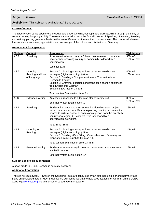#### **Availability:** This subject is available at AS and A2 Level

#### **Course Content:**

The specification builds upon the knowledge and understanding, concepts and skills acquired through the study of German at Key Stage 4 (GCSE). The examinations will assess the four skill areas of Speaking , Listening, Reading and Writing, placing great emphasis on the use of German as the medium of assessment. The course will develop the student's awareness, appreciation and knowledge of the culture and civilisation of Germany.

#### **Assessment Arrangements**

| <b>Module</b>   | <b>Content</b>                               | <b>Assessment</b>                                                                                                                                                                                                                                                                                                                                             | Weightings            |
|-----------------|----------------------------------------------|---------------------------------------------------------------------------------------------------------------------------------------------------------------------------------------------------------------------------------------------------------------------------------------------------------------------------------------------------------------|-----------------------|
| AS <sub>1</sub> | Speaking                                     | A presentation based on an AS Level theme related to an aspect<br>of a German-speaking country or community, followed by a<br>conversation.                                                                                                                                                                                                                   | 30% AS<br>12% A Level |
|                 |                                              | Lasts for 11m.                                                                                                                                                                                                                                                                                                                                                |                       |
| AS <sub>2</sub> | Listening,<br>Reading and Use<br>of Language | Section A: Listening - two questions based on two discrete<br>passages (digital recording) (40m)<br>Section B: Reading - Comprehension and Translation from<br>German to English<br>Section C: Grammar exercises and translation of short sentences<br>from English into German<br>Section B & C last for 1h 20m<br><b>Total Written Examination time: 2h</b> | 40% AS<br>16% A Level |
| AS3             | <b>Extended Writing</b>                      | An essay in response to a German film or literary text.<br>External Written Examination: 1h                                                                                                                                                                                                                                                                   | 30% AS<br>12% A Level |
| A21             | Speaking                                     | Students introduce and discuss one individual research project<br>based on an aspect of a German-speaking country or community<br>or area (a cultural aspect or an historical period from the twentieth<br>century or a region) $)$ – lasts 6m. This is followed by a<br>conversation lasting 9m.<br>Total Time: 15m                                          | 18% A2                |
| A22             | Listening &<br>Reading                       | Section A: Listening - two questions based on two discrete<br>passages (digital recording) (45m)<br>Section B: Reading -Gap Filling, Comprehension, Summary and<br>Translation from English to German (2h)<br>Total Written Examination time: 2h 45m                                                                                                          | 24% A2                |
| A2 3            | <b>Extended Writing</b>                      | Students write one essay in German on a set text that they have<br>studied in school.<br>External Written Examination: 1h                                                                                                                                                                                                                                     | 18% A2                |

#### **Subject Specific Requirements:**

A good grade in GCSE German is normally essential.

#### **Additional Information**

There is no coursework. However, the Speaking Tests are conducted by an external examiner and normally take place on a selected date in May. Students are advised to look at the new specifications for German on the CCEA website [\[www.ccea.org.uk\]](file://///LocalFS.site/Staff/Careers%20CEAIG/Year%2012%20Subject%20Choice/2020%20AS%20A%20Level%20Booklet/www.ccea.org.uk%20) and/or speak to your German teacher.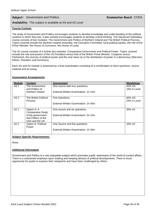### **Subject:** Government and Politics **Examination Board:** CCEA

**Availability:** This subject is available at AS and A2 Level

#### **Course Content:**

The study of Government and Politics encourages students to develop knowledge and understanding of the political systems in which they live. It also actively encourages students to develop critical thinking. The Advanced Subsidiary course consists of two modules: The Government and Politics of Northern Ireland and The British Political Process. Topics covered include the Northern Ireland Assembly, the Executive Committee, local political parties, the role of the Prime Minister, the House of Commons, the House of Lords.

The A2 course consists of a further two modules: Comparative Government and Political Power. Topics covered include the role and powers of the US President versus that of the British Prime Minister, Congress versus Parliament, the sources of political power and the rival views as to the distribution of power in a democracy (Marxism, Elitism, Pluralism and Feminism).

Each AS and A2 module is assessed by a final examination consisting of a combination of short questions, source material and an essay.

| <b>Module</b>    | <b>Content</b>           | <b>Assessment</b>                    | Weightings  |
|------------------|--------------------------|--------------------------------------|-------------|
| AS <sub>1</sub>  | The Government           | One source with four questions.      | 40% AS      |
|                  | and Politics of          |                                      | 16% A Level |
|                  | Northern Ireland         | External Written Examination: 1h 15m |             |
| AS <sub>2</sub>  | The British Political    | Five Questions.                      | 60% AS      |
|                  | <b>Process</b>           |                                      | 24% A Level |
|                  |                          | External Written Examination: 1h 45m |             |
| A <sub>2</sub> 1 | Option A: A              | One source and six questions.        | 35% A2      |
|                  | <b>Comparative Study</b> |                                      |             |
|                  | of the government        | External Written Examination: 2h 15m |             |
|                  | and Politics of the      |                                      |             |
|                  | USA and the UK           |                                      |             |
| A <sub>2</sub> 2 | Option A: Political      | One Source and five questions        | 25% A2      |
|                  | Power                    |                                      |             |
|                  |                          | External Written Examination: 1h 30m |             |

#### **Assessment Arrangements**

#### **Subject Specific Requirements:**

None.

#### **Additional Information**

Government and Politics is a very enjoyable subject which promotes pupils' awareness of the world of current affairs. There is a substantial emphasis upon reading and keeping abreast of political developments. There is much opportunity for pupils to express their viewpoints and have them challenged by others.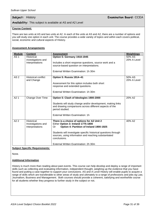**Subject:** History **Examination Board:** CCEA

#### **Availability:** This subject is available at AS and A2 Level

#### **Course Content:**

There are two units at AS and two units at A2. In each of the units at AS and A2, there are a number of options and you will study one option in each unit. The course provides a wide variety of topics and within each covers political, social, economic and cultural aspects of History.

#### **Assessment Arrangements**

| <b>Module</b>    | <b>Content</b>                                             | <b>Assessment</b>                                                                                                                         | Weightings            |
|------------------|------------------------------------------------------------|-------------------------------------------------------------------------------------------------------------------------------------------|-----------------------|
| AS <sub>1</sub>  | <b>Historical</b><br>investigations and                    | <b>Option 5: Germany 1918-1945</b>                                                                                                        | 50% AS<br>20% A Level |
|                  | Interpretations                                            | Includes a short response questions, source work and a                                                                                    |                       |
|                  |                                                            | source-based question on interpretations.                                                                                                 |                       |
|                  |                                                            | External Written Examination: 1h 30m                                                                                                      |                       |
| AS <sub>2</sub>  | <b>Historical conflict</b><br>and Change                   | Option 5: Russia 1914-41                                                                                                                  | 50% AS<br>20% A Level |
|                  |                                                            | Assessment for this option includes both short<br>response and extended questions.                                                        |                       |
|                  |                                                            | External Written Examination: 1h 30m                                                                                                      |                       |
| A21              | <b>Change Over Time</b>                                    | Option 5: Clash of Ideologies 1900-2000                                                                                                   | 20% A2                |
|                  |                                                            | Students will study change and/or development, making links<br>and drawing comparisons across different aspects of the<br>period studied. |                       |
|                  |                                                            | External Written Examination: 1h                                                                                                          |                       |
| A <sub>2</sub> 2 | <b>Historical</b><br>Investigations and<br>Interpretations | There is a choice of options for A2 Unit 2<br>Either Option 3: Ireland 1775-1800<br>Option 4: Partition of Ireland 1900-1925<br>0r        | 40% A2                |
|                  |                                                            | Students will investigate specific historical questions through<br>sources, using information and reaching substantiated<br>conclusions.  |                       |
|                  |                                                            | External Written Examination: 2h 30m                                                                                                      |                       |

#### **Subject Specific Requirements:**

None.

#### **Additional Information**

History is much more than reading about past events. This course can help develop and deploy a range of important skills such as collecting and evaluating information, independent thought, weighing up the evidence that you have found and putting a case together to support your conclusions. AS and A Level History will enable pupils to acquire a range of skills which are transferable to other areas of study and ultimately to a range of professions and jobs eg Law, Journalism, Business and Management. Both courses should provide a coherent, satisfying and worthwhile course for all students whether they progress to further study in the subject or not.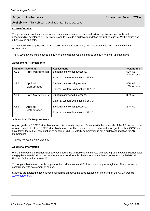### **Subject:** Mathematics **Examination Board:** CCEA

#### **Availability:** This subject is available at AS and A2 Level

#### **Course Content:**

The general aims of the courses in Mathematics are, to consolidate and extend the knowledge, skills and understanding developed at Key Stage 4 and to provide a suitable foundation for further study of Mathematics and other related subjects.

The students will be prepared for the CCEA Advanced Subsidiary [AS] and Advanced Level examinations in Mathematics.

The A Level award will be based on 40% of the students' AS units marks and 60% of their A2 units marks.

#### **Assessment Arrangements**

| <b>Module</b>    | <b>Content</b>          | <b>Assessment</b>                    | Weightings  |
|------------------|-------------------------|--------------------------------------|-------------|
| AS <sub>1</sub>  | <b>Pure Mathematics</b> | Students answer all questions.       | 60% AS      |
|                  |                         |                                      | 24% A Level |
|                  |                         | External Written Examination: 1h 45m |             |
| AS <sub>2</sub>  | Applied                 | Students answer all questions.       | 40% AS      |
|                  | <b>Mathematics</b>      |                                      | 16% A Level |
|                  |                         | External Written Examination: 1h 15m |             |
| A <sub>2</sub> 1 | <b>Pure Mathematics</b> | Students answer all questions.       | 36% A2      |
|                  |                         | External Written Examination: 2h 30m |             |
| A <sub>2</sub> 2 | Applied                 | Students answer all questions.       | 24% A2      |
|                  | <b>Mathematics</b>      | External Written Examination: 1h 30m |             |

#### **Subject Specific Requirements:**

A good grade in GCSE Further Mathematics is normally required. To cope with the demands of the AS course, those who are unable to offer GCSE Further Mathematics will be required to have achieved a top grade in their GCSE and have taken the M4/M8 combination of papers at GCSE. M4/M7 combination is not a suitable foundation for AS **Mathematics** 

There is no course work element.

#### **Additional Information**

While the modules in Mathematics are designed to be available to candidates with a top grade in GCSE Mathematics, the gap between GCSE and A Level remains a considerable challenge for a student who has not studied GCSE Further Mathematics in Year 12.

The Applied Mathematics will comprise of both Mechanics and Statistics on an equal weighting. All questions are compulsory with no element of choice.

Students are advised to look at content information about the specification can be found on the CCEA website [www.ccea.org.uk.](http://www.ccea.org.uk/)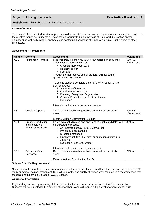### **Subject:** Moving Image Arts **Examination Board:** CCEA

#### **Availability:** This subject is available at AS and A2 Level

#### **Course Content:**

The subject offers the students the opportunity to develop skills and knowledge relevant and necessary for a career in the creative industries. Students will have the opportunity to build a portfolio of filmic work (live action and/or animation) as well as build their analytical and contextual knowledge of film through exploring the works of other filmmakers.

#### **Assessment Arrangements**

| <b>Module</b>   | <b>Content</b>                                                           | <b>Assessment</b>                                                                                                                                                                                                                                                                                                                                                                                                                                                                                                                                             | <b>Weightings</b>     |
|-----------------|--------------------------------------------------------------------------|---------------------------------------------------------------------------------------------------------------------------------------------------------------------------------------------------------------------------------------------------------------------------------------------------------------------------------------------------------------------------------------------------------------------------------------------------------------------------------------------------------------------------------------------------------------|-----------------------|
| AS <sub>1</sub> | <b>Foundation Portfolio</b>                                              | Students create a short narrative or animated film sequence<br>which shows understanding of:<br><b>Classical Hollywood Style</b><br>Realism: and/or<br>Formalism<br>Through the appropriate use of: camera; editing; sound;<br>lighting & mise-en-scene<br>To do this students complete a portfolio which contains five<br>distinct stages:<br>1. Statement of Intention;<br>2. Creative Pre-production<br>3. Planning, Design and Organisation<br>4. Creative Production and Post-production<br>5. Evaluation<br>Internally marked and externally moderated. | 60% AS<br>24% A Level |
| AS <sub>2</sub> | <b>Critical Response</b>                                                 | Online examination with questions on clips from set study<br>areas.<br>External Written Examination: 1h 30m                                                                                                                                                                                                                                                                                                                                                                                                                                                   | 40% AS<br>16% A Level |
| A2 1            | <b>Creative Production</b><br>and Research:<br><b>Advanced Portfolio</b> | Following a self-directed and open-ended brief, candidates will<br>be expected to produce:<br>• An illustrated essay (1200-1500 words)<br>Pre-production planning<br>$\bullet$<br>Director's notebook<br>$\bullet$<br>Final product, film (4-7 mins) or animation (minimum 2-<br>$3.5$ mins)<br>Evaluation (800-1200 words)<br>Internally marked and externally moderated.                                                                                                                                                                                    | 36% A2                |
| A2 2            | <b>Advanced Critical</b><br>Response                                     | Online examination with questions on clips from set study<br>areas.<br>External Written Examination: 2h 15m                                                                                                                                                                                                                                                                                                                                                                                                                                                   | 24% A2                |

#### **Subject Specific Requirements:**

Students should be able to demonstrate a genuine interest in the study of film/filmmaking through either their GCSE study or extracurricular involvement. Due to the quantity and quality of written work required, it is recommended that students should have a B grade at GCSE English.

#### **Additional Information**

Keyboarding and word-processing skills are essential for the online exam. An interest in Film is essential. Students will be expected to film outside of school hours and will require a high level of organisational skills.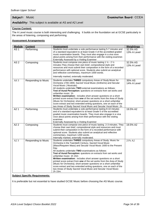**Availability:** This subject is available at AS and A2 Level

#### **Course Content:**

The A Level music course is both interesting and challenging. It builds on the foundation set at GCSE particularly in the areas of listening, composing and performing.

#### **Assessment Arrangements**

| <b>Module</b>   | <b>Content</b>      | <b>Assessment</b>                                                                                                                                                                                                                                                                                                                                                                                                                                                                                                                                                                                                                                                                                                                    | <b>Weightings</b>       |
|-----------------|---------------------|--------------------------------------------------------------------------------------------------------------------------------------------------------------------------------------------------------------------------------------------------------------------------------------------------------------------------------------------------------------------------------------------------------------------------------------------------------------------------------------------------------------------------------------------------------------------------------------------------------------------------------------------------------------------------------------------------------------------------------------|-------------------------|
| AS <sub>1</sub> | Performing          | Students must undertake a solo performance lasting 5-7 minutes and<br>of a standard equivalent to at least Grade 4 of the accredited graded<br>music examination boards. They must also engage in a viva voce<br>about points arising from their performance with the visiting examiner.<br>Externally Assessed by a Visiting Examiner                                                                                                                                                                                                                                                                                                                                                                                               | 32.5% AS<br>13% A Level |
| AS <sub>2</sub> | Composing           | Students must compose one piece of music lasting 1 1/2 - 2 1/2<br>minutes. They choose their own brief, compositional style and<br>resources and must submit their composition in the form of a recorded<br>performance with optional score. Students also submit an analytical<br>and reflective commentary, maximum 1000 words.<br>Internally marked, externally moderated.                                                                                                                                                                                                                                                                                                                                                        | 32.5% AS<br>13% A Level |
| AS <sub>3</sub> | Responding to Music | Students undertake THREE compulsory Areas of Study: Music for<br>Orchestra 1700-1900, Sacred Vocal Music (Anthems) and Secular<br>Vocal Music (Musicals).<br>All students undertake TWO external examinations as follows:<br>Test of Aural Perception: questions on extracts from set works and<br>unfamiliar music: 1h<br>Written examination: includes short answer questions on a short<br>printed score extract from one of the set works from the Area of Study<br>(Music for Orchestra); short-answer questions on a short unfamiliar<br>score extract and two extended writing questions, one on each of the<br>two Areas of Study Sacred Vocal Music and Secular Vocal Music: 2h                                             | 35% AS<br>14% A Level   |
| A21             | Performing          | Students must undertake a solo performance lasting 8-10 minutes<br>and of a standard equivalent to at least Grade 5 of the accredited<br>graded music examination boards. They must also engage in a viva<br>voce about points arising from their performance with the visiting<br>examiner.<br>Externally Assessed by a Visiting Examiner                                                                                                                                                                                                                                                                                                                                                                                           | 19.5% A2                |
| A2 2            | Composing           | Students must compose one piece of music lasting 2-3 minutes. They<br>choose their own brief, compositional style and resources and must<br>submit their composition in the form of a recorded performance with<br>optional score. Students also submit an analytical and reflective<br>commentary, maximum 1200 words.<br>Internally marked, externally moderated.                                                                                                                                                                                                                                                                                                                                                                  | 19.5% A2                |
| A23             | Responding to Music | Students undertake THREE compulsory Areas of Study: Music for<br>Orchestra in the Twentieth Century, Sacred Vocal Music<br>(Mass/Requiem Mass) and Secular Vocal Music 1600 to the Present<br>Day.<br>All students undertake TWO examinations as follows:<br>Test of Aural Perception: questions on extracts from set works and<br>unfamiliar music: 1h 15m<br>Written examination: includes short answer questions on a short<br>printed score extract from one of the set works from the Area of Study<br>(Music for Orchestra); short-answer questions on a short unfamiliar<br>score extract and two extended writing questions, one on each of the<br>two Areas of Study Sacred Vocal Music and Secular Vocal Music:<br>2h 15m. | 21% A2                  |

#### **Subject Specific Requirements:**

It is preferable but not essential to have studied GCSE Music before choosing the AS Music course.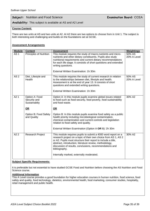#### **Subject:** Nutrition and Food Science **Examination Board:** CCEA

**Availability:** This subject is available at AS and A2 Level

#### **Course Content:**

There are two units at AS and two units at A2. At A2 there are two options to choose from in Unit 1. The subject is both interesting and challenging and builds on the foundations set at GCSE.

#### **Assessment Arrangements**

| <b>Module</b>   | <b>Content</b>                                  | <b>Assessment</b>                                                                                                                                                                                                                                                                                                                        | <b>Weightings</b>     |
|-----------------|-------------------------------------------------|------------------------------------------------------------------------------------------------------------------------------------------------------------------------------------------------------------------------------------------------------------------------------------------------------------------------------------------|-----------------------|
| AS <sub>1</sub> | <b>Principles of Nutrition</b>                  | This module requires the study of macro-nutrients and micro-<br>nutrients and other dietary constituents. Pupils also study<br>nutritional requirements and current dietary recommendations<br>for each life stage. It consistis of short questions and extended<br>writing questions.                                                   | 50% AS<br>20% A Level |
|                 |                                                 | External Written Examination: 1h 30m                                                                                                                                                                                                                                                                                                     |                       |
| AS <sub>2</sub> | Diet, Lifestyle and<br>Health                   | This module requires the study of current research in relation<br>to the relationships between diet, lifestyle and health.<br>Assessment is at the end of year 13. It consists of short<br>questions and extended writing questions.<br>External Written Examination: 1h 30m                                                             | 50% AS<br>20% A Level |
| A2 1            | Option A: Food<br>Security and<br>Sustainablity | Option A: In this module pupils examine global issues related<br>to food such as food security, food poverty, food sustainability<br>and food waste.                                                                                                                                                                                     | 30% A2                |
|                 | <b>OR</b>                                       | OR                                                                                                                                                                                                                                                                                                                                       |                       |
|                 | Option B: Food Safety<br>and Quality            | Option B: In this module pupils examine food safety as a public<br>health priority including microbiological contamination,<br>chemical contamination and current controls and legislation<br>relation to food safety and quality.                                                                                                       |                       |
|                 |                                                 | External Written Examination (Option A OR B): 2h 30m                                                                                                                                                                                                                                                                                     |                       |
| A2 2            | <b>Research Project</b>                         | This module requires pupils to submit a 4000 word report on a<br>research project on a topic of their own choice from AS 1, AS 2<br>or A2. Pupils must structure their report to include a title,<br>abstract, introduction, literature review, methodology,<br>discussion of results, conclusions, recommendations and<br>bibliography. | 30% A2                |
|                 |                                                 | Internally marked, externally moderated.                                                                                                                                                                                                                                                                                                 |                       |

#### **Subject Specific Requirements:**

It is preferable but not essential to have studied GCSE Food and Nutrition before choosing the AS Nutrition and Food Science course.

#### **Additional Information**

This A Level course provides a good foundation for higher education courses in human nutrition, food science, food safety and quality, food technology, dietetics, environmental health, food marketing, consumer studies, hospitality, retail management and public health.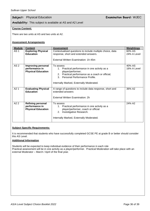### **Subject:** Physical Education **Examination Board:** WJEC

**Availability:** This subject is available at AS and A2 Level

#### **Course Content:**

There are two units at AS and two units at A2.

#### **Assessment Arrangements**

| <b>Module</b>   | <b>Content</b>                                                           | <b>Assessment</b>                                                                                                                                                                                                      | <b>Weightings</b>     |
|-----------------|--------------------------------------------------------------------------|------------------------------------------------------------------------------------------------------------------------------------------------------------------------------------------------------------------------|-----------------------|
| AS <sub>1</sub> | <b>Exploring Physical</b><br><b>Education</b>                            | Contextualised questions to include multiple choice, data<br>response, short and extended answers.<br>External Written Examination: 1h 45m                                                                             | 60% AS<br>24% A Level |
| AS <sub>2</sub> | <b>Improving personal</b><br>performance in<br><b>Physical Education</b> | To assess<br>Practical performance in one activity as a<br>1.<br>player/performer;<br>2. Practical performance as a coach or official;<br>3. Personal Performance Profile.<br>Internally Marked, Externally Moderated. | 40% AS<br>16% A Level |
| A2 <sub>1</sub> | <b>Evaluating Physical</b><br><b>Education</b>                           | A range of questions to include data response, short and<br>extended answers<br>External Written Examination: 2h                                                                                                       | 36% A2                |
| A2 2            | <b>Refining personal</b><br>performance in<br><b>Physical Education</b>  | To assess<br>1. Practical performance in one activity as a<br>player/performer, coach or official<br>Investigative Research.<br>$2^{2}$<br>Internally Marked, Externally Moderated.                                    | 24% A2                |

#### **Subject Specific Requirements:**

It is recommended that students who have successfully completed GCSE PE at grade B or better should consider this AS Level.

#### **Additional Information**

Students will be expected to keep individual evidence of their performance in each role Practical assessment will be in one activity as a player/performer. Practical Moderation will take place with an external Moderator – March / April of the final year.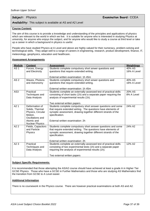**Subject:** Physics **Examination Board:** CCEA

#### **Availability:** This subject is available at AS and A2 Level

#### **Course Content:**

The aim of this course is to provide a knowledge and understanding of the principles and applications of physics which are relevant to the world in which we live. It is suitable for anyone who is interested in studying Physics at university, for anyone who enjoys the subject, and for anyone who would like to study a course at third level or take up a career in which a background in physics is useful.

People who have studied Physics at A Level and above are highly-valued for their numeracy, problem-solving and technological skills. They adapt well to a range of careers in engineering, research, product development, finance, IT, meteorology, geophysics, education and healthcare.

#### **Assessment Arrangements**

| <b>Module</b>   | <b>Content</b>                                                                                                                | <b>Assessment</b>                                                                                                                                                                                                                                     | <b>Weightings</b>     |
|-----------------|-------------------------------------------------------------------------------------------------------------------------------|-------------------------------------------------------------------------------------------------------------------------------------------------------------------------------------------------------------------------------------------------------|-----------------------|
| AS <sub>1</sub> | Forces, Energy<br>and Electricity                                                                                             | Students complete compulsory short anwer questions and<br>questions that require extended writing.                                                                                                                                                    | 40% AS<br>16% A Level |
|                 |                                                                                                                               | External written examination: 1h 45m                                                                                                                                                                                                                  |                       |
| AS <sub>2</sub> | Waves, Photons<br>and Astronomy                                                                                               | Students complete compulsory short anwer questions and<br>questions that require extended writing.                                                                                                                                                    | 40% AS<br>16% A Level |
|                 |                                                                                                                               | External written examination: 1h 45m                                                                                                                                                                                                                  |                       |
| AS3             | Practical<br>Techniques and<br>Data Analysis                                                                                  | Students complete an externally-assessed test of practical skills<br>consisting of short tasks (1h) and a separate paper requiring the<br>analysis of experimental results (1h).<br>Two external written papers                                       | 20% AS<br>8% A Level  |
| A21             | Deformation of<br>Solids, Thermal<br>Physics, Circular<br>Motion,<br>Oscillations and<br>Atomic and<br><b>Nuclear Physics</b> | Students complete compulsory short answer questions and some<br>that require extended wirting. The questions have elements of<br>synoptic assessment, drawing together different strands of the<br>specification.<br>External written examination: 2h | 24% A2                |
| A22             | Fields, Capacitors<br>and Particle<br>Physics                                                                                 | Students complete compulsory short answer questions and some<br>that require extended writing. The questions have elements of<br>synoptic assessment, drawing together different strands of the<br>specification.<br>External written examination: 2h | 24% A2                |
| A23             | Practical<br>Techniques and<br>Data Analysis                                                                                  | Students complete an externally-assessed test of practical skills<br>consisting of two experimental tests (1h) and a separate paper<br>requiring the analysis of experimental results (1h).<br>Two external written papers                            | 12% A2                |

#### **Subject Specific Requirements:**

It is recommended that those attempting the AS/A2 course should have achieved at least a grade A in Higher Tier GCSE Physics. Those who have a GCSE in Further Mathematics and those who are studying AS Mathematics find the transition from GCSE to A Level easier.

#### **Additional Information**

There is no coursework in the Physics course. There are however practical examinations at both AS and A2.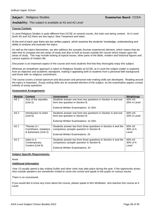### **Subject:** Religious Studies **Examination Board:** CCEA

**Availability:** This subject is available at AS and A2 Level

#### **Course Content:**

A Level Religious Studies is quite different from GCSE on several counts, the main one being content. At A Level (both AS and A2) there are two topics: New Testament and Islam.

At the end of each year there are two written papers, which examine the students' knowledge, understanding and ability to analyse and evaluate the topics.

As well as the topics themselves, we also address the synoptic (human experience) element, which means that we take time to compare the two areas of study and also to look at issues outside the course which impact upon the areas of study. This may include looking at topical issues, other parts of the Bible, modern and historical figures and various aspects of modern life.

Discussion is an important aspect of the course and most students find that they thoroughly enjoy this subject.

Whereas an empathetic approach is taken to Religious Studies at GCSE, at A Level the subject matter is explored from an objective and academic standpoint, making it appealing both to students from a personal faith background and those with no religious commitment.

The course covers a broad spectrum and discussion and personal note-making skills are developed. Reading around the topics is important. Essay writing skills are an essential element of the subject, as the examination papers consist entirely of essay questions.

| <b>Module</b>    | <b>Content</b>                                                | <b>Assessment</b>                                                                                                                               | Weightings                  |
|------------------|---------------------------------------------------------------|-------------------------------------------------------------------------------------------------------------------------------------------------|-----------------------------|
| AS <sub>1</sub>  | Acts of the Apostles<br>(Unit 2)                              | Students answer one from two questions in Section A and one<br>form two question in Section B.<br>External Written Examinatons: 1h 20m          | 50% AS<br>20% A Level       |
| AS <sub>2</sub>  | Introduction to Islam<br>(Unit 6)                             | Students answer one from two questions in Section A and one<br>form two question in Section B.<br>External Written Examinatons: 1h 20m          | 50% AS<br>20% A Level       |
| A2 <sub>1</sub>  | Themes in I<br>Corinthians, Galatians<br>& Ephesians (Unit 2) | Students answer two from three questions in Section A and the<br>compulsory synoptic question in Section B.<br>External Writien Examinatons: 2h | 50% A2<br>30% of A<br>Level |
| A <sub>2</sub> 2 | Islam in a<br>Contemporary<br>Context (Unit 6)                | Students answer two from three questions in Section A and the<br>compulsory synoptic question in Section B.<br>External Written Examinatons: 2h | 50% A2<br>30% of A<br>Level |

#### **Assessment Arrangements**

#### **Subject Specific Requirements:**

None

#### **Additional Information**

Year 13 usually spend a day visiting Dublin and other visits may take place during the year, if the opportunity arises. Also outside speakers are sometimes invited to come into school and speak to the pupils on various issues.

There is no coursework.

If you would like to know any more about the course, please speak to Mrs McMaster, who teaches this course at A Level.